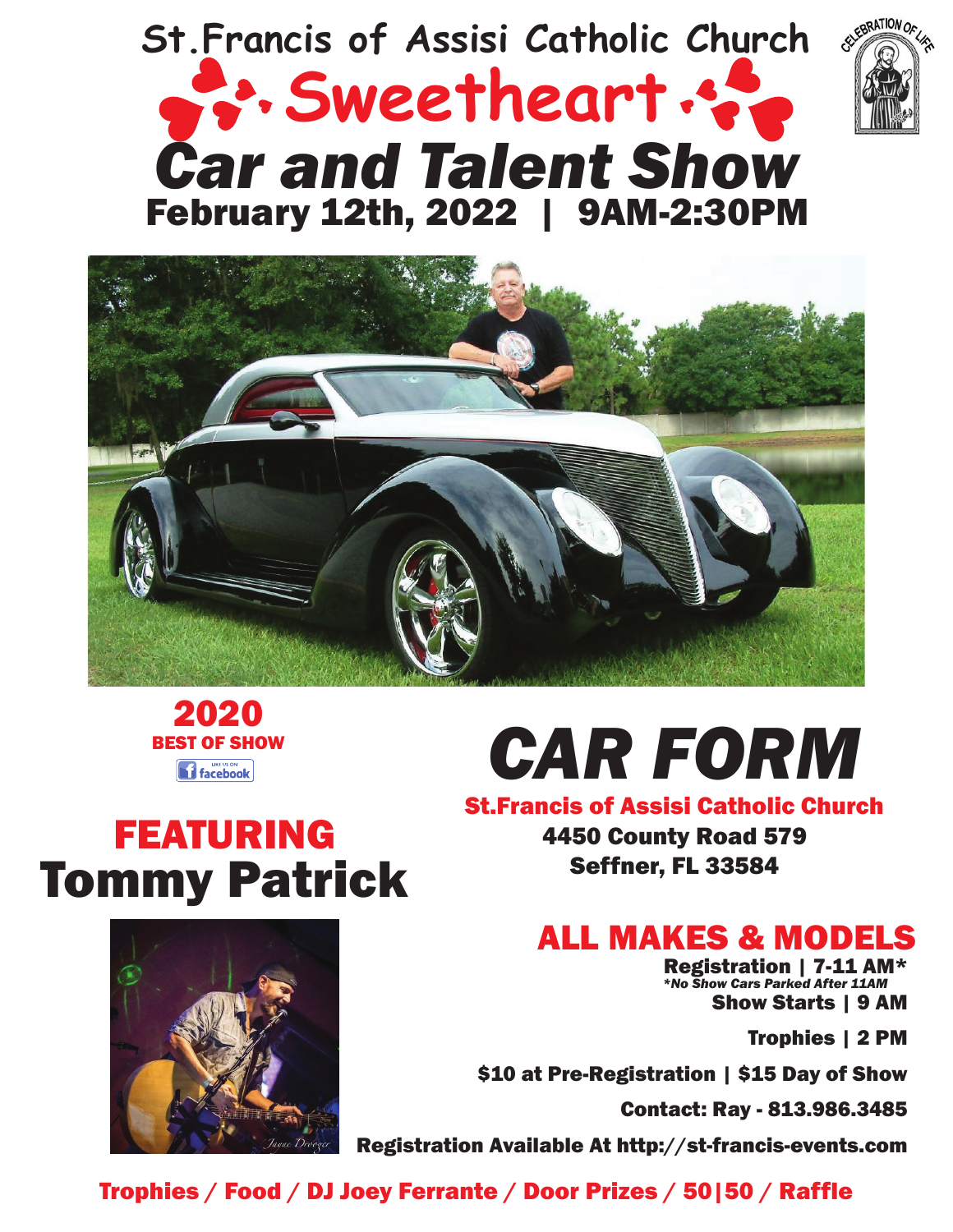# *Car and Talent Show* **Sweetheart St.Francis of Assisi Catholic Church** February 12th, 2022 | 9AM-2:30PM







# *CAR FORM*

## FEATURING Tommy Patrick



St.Francis of Assisi Catholic Church 4450 County Road 579 Seffner, FL 33584

## ALL MAKES & MODELS

Registration | 7-11 AM\* Show Starts | 9 AM *\*No Show Cars Parked After 11AM*

Trophies | 2 PM

\$10 at Pre-Registration | \$15 Day of Show

Contact: Ray - 813.986.3485

Registration Available At http://st-francis-events.com

Trophies / Food / DJ Joey Ferrante / Door Prizes / 50|50 / Raffle